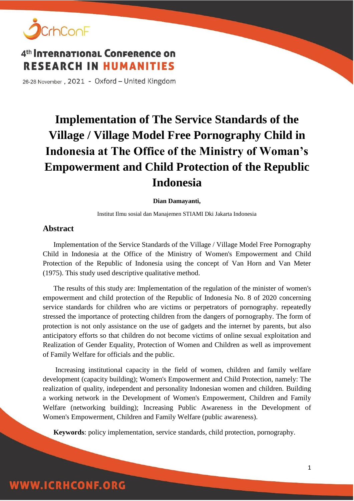

26-28 November, 2021 - Oxford - United Kingdom

# **Implementation of The Service Standards of the Village / Village Model Free Pornography Child in Indonesia at The Office of the Ministry of Woman's Empowerment and Child Protection of the Republic Indonesia**

#### **Dian Damayanti,**

Institut Ilmu sosial dan Manajemen STIAMI Dki Jakarta Indonesia

#### **Abstract**

Implementation of the Service Standards of the Village / Village Model Free Pornography Child in Indonesia at the Office of the Ministry of Women's Empowerment and Child Protection of the Republic of Indonesia using the concept of Van Horn and Van Meter (1975). This study used descriptive qualitative method.

The results of this study are: Implementation of the regulation of the minister of women's empowerment and child protection of the Republic of Indonesia No. 8 of 2020 concerning service standards for children who are victims or perpetrators of pornography. repeatedly stressed the importance of protecting children from the dangers of pornography. The form of protection is not only assistance on the use of gadgets and the internet by parents, but also anticipatory efforts so that children do not become victims of online sexual exploitation and Realization of Gender Equality, Protection of Women and Children as well as improvement of Family Welfare for officials and the public.

Increasing institutional capacity in the field of women, children and family welfare development (capacity building); Women's Empowerment and Child Protection, namely: The realization of quality, independent and personality Indonesian women and children. Building a working network in the Development of Women's Empowerment, Children and Family Welfare (networking building); Increasing Public Awareness in the Development of Women's Empowerment, Children and Family Welfare (public awareness).

**Keywords**: policy implementation, service standards, child protection, pornography.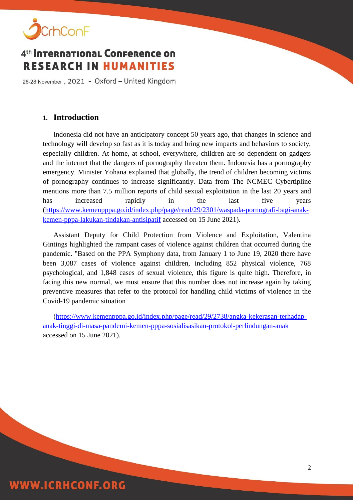

26-28 November, 2021 - Oxford - United Kingdom

### **1. Introduction**

Indonesia did not have an anticipatory concept 50 years ago, that changes in science and technology will develop so fast as it is today and bring new impacts and behaviors to society, especially children. At home, at school, everywhere, children are so dependent on gadgets and the internet that the dangers of pornography threaten them. Indonesia has a pornography emergency. Minister Yohana explained that globally, the trend of children becoming victims of pornography continues to increase significantly. Data from The NCMEC Cybertipline mentions more than 7.5 million reports of child sexual exploitation in the last 20 years and has increased rapidly in the last five years [\(https://www.kemenpppa.go.id/index.php/page/read/29/2301/waspada-pornografi-bagi-anak](https://www.kemenpppa.go.id/index.php/page/read/29/2301/waspada-pornografi-bagi-anak-kemen-pppa-lakukan-tindakan-antisipatif)[kemen-pppa-lakukan-tindakan-antisipatif](https://www.kemenpppa.go.id/index.php/page/read/29/2301/waspada-pornografi-bagi-anak-kemen-pppa-lakukan-tindakan-antisipatif) accessed on 15 June 2021).

Assistant Deputy for Child Protection from Violence and Exploitation, Valentina Gintings highlighted the rampant cases of violence against children that occurred during the pandemic. "Based on the PPA Symphony data, from January 1 to June 19, 2020 there have been 3,087 cases of violence against children, including 852 physical violence, 768 psychological, and 1,848 cases of sexual violence, this figure is quite high. Therefore, in facing this new normal, we must ensure that this number does not increase again by taking preventive measures that refer to the protocol for handling child victims of violence in the Covid-19 pandemic situation

[\(https://www.kemenpppa.go.id/index.php/page/read/29/2738/angka-kekerasan-terhadap](https://www.kemenpppa.go.id/index.php/page/read/29/2738/angka-kekerasan-terhadap-anak-tinggi-di-masa-pandemi-kemen-pppa-sosialisasikan-protokol-perlindungan-anak)[anak-tinggi-di-masa-pandemi-kemen-pppa-sosialisasikan-protokol-perlindungan-anak](https://www.kemenpppa.go.id/index.php/page/read/29/2738/angka-kekerasan-terhadap-anak-tinggi-di-masa-pandemi-kemen-pppa-sosialisasikan-protokol-perlindungan-anak) accessed on 15 June 2021).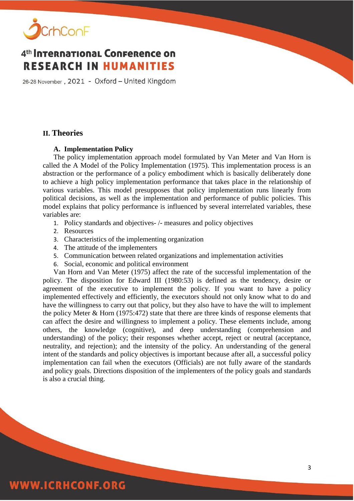

26-28 November, 2021 - Oxford - United Kingdom

#### **II. Theories**

#### **A. Implementation Policy**

The policy implementation approach model formulated by Van Meter and Van Horn is called the A Model of the Policy Implementation (1975). This implementation process is an abstraction or the performance of a policy embodiment which is basically deliberately done to achieve a high policy implementation performance that takes place in the relationship of various variables. This model presupposes that policy implementation runs linearly from political decisions, as well as the implementation and performance of public policies. This model explains that policy performance is influenced by several interrelated variables, these variables are:

- 1. Policy standards and objectives- /- measures and policy objectives
- 2. Resources
- 3. Characteristics of the implementing organization
- 4. The attitude of the implementers
- 5. Communication between related organizations and implementation activities
- 6. Social, economic and political environment

Van Horn and Van Meter (1975) affect the rate of the successful implementation of the policy. The disposition for Edward III (1980:53) is defined as the tendency, desire or agreement of the executive to implement the policy. If you want to have a policy implemented effectively and efficiently, the executors should not only know what to do and have the willingness to carry out that policy, but they also have to have the will to implement the policy Meter & Horn (1975:472) state that there are three kinds of response elements that can affect the desire and willingness to implement a policy. These elements include, among others, the knowledge (cognitive), and deep understanding (comprehension and understanding) of the policy; their responses whether accept, reject or neutral (acceptance, neutrality, and rejection); and the intensity of the policy. An understanding of the general intent of the standards and policy objectives is important because after all, a successful policy implementation can fail when the executors (Officials) are not fully aware of the standards and policy goals. Directions disposition of the implementers of the policy goals and standards is also a crucial thing.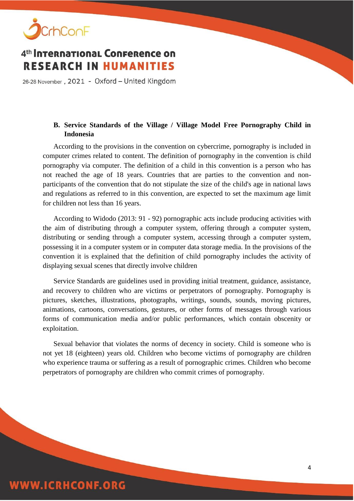

26-28 November, 2021 - Oxford - United Kingdom

### **B. Service Standards of the Village / Village Model Free Pornography Child in Indonesia**

According to the provisions in the convention on cybercrime, pornography is included in computer crimes related to content. The definition of pornography in the convention is child pornography via computer. The definition of a child in this convention is a person who has not reached the age of 18 years. Countries that are parties to the convention and nonparticipants of the convention that do not stipulate the size of the child's age in national laws and regulations as referred to in this convention, are expected to set the maximum age limit for children not less than 16 years.

According to Widodo (2013: 91 - 92) pornographic acts include producing activities with the aim of distributing through a computer system, offering through a computer system, distributing or sending through a computer system, accessing through a computer system, possessing it in a computer system or in computer data storage media. In the provisions of the convention it is explained that the definition of child pornography includes the activity of displaying sexual scenes that directly involve children

Service Standards are guidelines used in providing initial treatment, guidance, assistance, and recovery to children who are victims or perpetrators of pornography. Pornography is pictures, sketches, illustrations, photographs, writings, sounds, sounds, moving pictures, animations, cartoons, conversations, gestures, or other forms of messages through various forms of communication media and/or public performances, which contain obscenity or exploitation.

Sexual behavior that violates the norms of decency in society. Child is someone who is not yet 18 (eighteen) years old. Children who become victims of pornography are children who experience trauma or suffering as a result of pornographic crimes. Children who become perpetrators of pornography are children who commit crimes of pornography.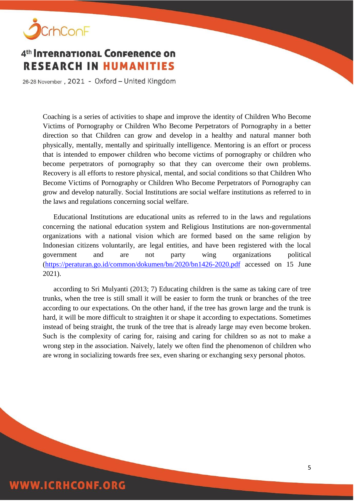

26-28 November, 2021 - Oxford - United Kingdom

Coaching is a series of activities to shape and improve the identity of Children Who Become Victims of Pornography or Children Who Become Perpetrators of Pornography in a better direction so that Children can grow and develop in a healthy and natural manner both physically, mentally, mentally and spiritually intelligence. Mentoring is an effort or process that is intended to empower children who become victims of pornography or children who become perpetrators of pornography so that they can overcome their own problems. Recovery is all efforts to restore physical, mental, and social conditions so that Children Who Become Victims of Pornography or Children Who Become Perpetrators of Pornography can grow and develop naturally. Social Institutions are social welfare institutions as referred to in the laws and regulations concerning social welfare.

Educational Institutions are educational units as referred to in the laws and regulations concerning the national education system and Religious Institutions are non-governmental organizations with a national vision which are formed based on the same religion by Indonesian citizens voluntarily, are legal entities, and have been registered with the local government and are not party wing organizations political [\(https://peraturan.go.id/common/dokumen/bn/2020/bn1426-2020.pdf](https://peraturan.go.id/common/dokumen/bn/2020/bn1426-2020.pdf) accessed on 15 June 2021).

according to Sri Mulyanti (2013; 7) Educating children is the same as taking care of tree trunks, when the tree is still small it will be easier to form the trunk or branches of the tree according to our expectations. On the other hand, if the tree has grown large and the trunk is hard, it will be more difficult to straighten it or shape it according to expectations. Sometimes instead of being straight, the trunk of the tree that is already large may even become broken. Such is the complexity of caring for, raising and caring for children so as not to make a wrong step in the association. Naively, lately we often find the phenomenon of children who are wrong in socializing towards free sex, even sharing or exchanging sexy personal photos.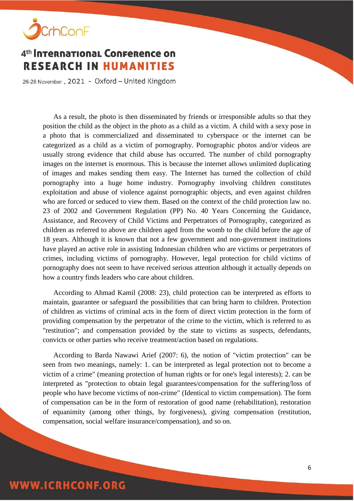

26-28 November, 2021 - Oxford - United Kingdom

As a result, the photo is then disseminated by friends or irresponsible adults so that they position the child as the object in the photo as a child as a victim. A child with a sexy pose in a photo that is commercialized and disseminated to cyberspace or the internet can be categorized as a child as a victim of pornography. Pornographic photos and/or videos are usually strong evidence that child abuse has occurred. The number of child pornography images on the internet is enormous. This is because the internet allows unlimited duplicating of images and makes sending them easy. The Internet has turned the collection of child pornography into a huge home industry. Pornography involving children constitutes exploitation and abuse of violence against pornographic objects, and even against children who are forced or seduced to view them. Based on the context of the child protection law no. 23 of 2002 and Government Regulation (PP) No. 40 Years Concerning the Guidance, Assistance, and Recovery of Child Victims and Perpetrators of Pornography, categorized as children as referred to above are children aged from the womb to the child before the age of 18 years. Although it is known that not a few government and non-government institutions have played an active role in assisting Indonesian children who are victims or perpetrators of crimes, including victims of pornography. However, legal protection for child victims of pornography does not seem to have received serious attention although it actually depends on how a country finds leaders who care about children.

According to Ahmad Kamil (2008: 23), child protection can be interpreted as efforts to maintain, guarantee or safeguard the possibilities that can bring harm to children. Protection of children as victims of criminal acts in the form of direct victim protection in the form of providing compensation by the perpetrator of the crime to the victim, which is referred to as "restitution"; and compensation provided by the state to victims as suspects, defendants, convicts or other parties who receive treatment/action based on regulations.

According to Barda Nawawi Arief (2007: 6), the notion of "victim protection" can be seen from two meanings, namely: 1. can be interpreted as legal protection not to become a victim of a crime" (meaning protection of human rights or for one's legal interests); 2. can be interpreted as "protection to obtain legal guarantees/compensation for the suffering/loss of people who have become victims of non-crime" (Identical to victim compensation). The form of compensation can be in the form of restoration of good name (rehabilitation), restoration of equanimity (among other things, by forgiveness), giving compensation (restitution, compensation, social welfare insurance/compensation), and so on.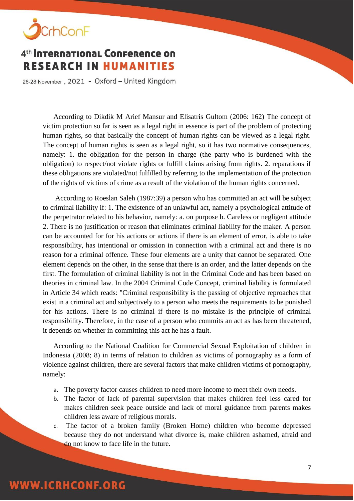

26-28 November, 2021 - Oxford - United Kingdom

According to Dikdik M Arief Mansur and Elisatris Gultom (2006: 162) The concept of victim protection so far is seen as a legal right in essence is part of the problem of protecting human rights, so that basically the concept of human rights can be viewed as a legal right. The concept of human rights is seen as a legal right, so it has two normative consequences, namely: 1. the obligation for the person in charge (the party who is burdened with the obligation) to respect/not violate rights or fulfill claims arising from rights. 2. reparations if these obligations are violated/not fulfilled by referring to the implementation of the protection of the rights of victims of crime as a result of the violation of the human rights concerned.

According to Roeslan Saleh (1987:39) a person who has committed an act will be subject to criminal liability if: 1. The existence of an unlawful act, namely a psychological attitude of the perpetrator related to his behavior, namely: a. on purpose b. Careless or negligent attitude 2. There is no justification or reason that eliminates criminal liability for the maker. A person can be accounted for for his actions or actions if there is an element of error, is able to take responsibility, has intentional or omission in connection with a criminal act and there is no reason for a criminal offence. These four elements are a unity that cannot be separated. One element depends on the other, in the sense that there is an order, and the latter depends on the first. The formulation of criminal liability is not in the Criminal Code and has been based on theories in criminal law. In the 2004 Criminal Code Concept, criminal liability is formulated in Article 34 which reads: "Criminal responsibility is the passing of objective reproaches that exist in a criminal act and subjectively to a person who meets the requirements to be punished for his actions. There is no criminal if there is no mistake is the principle of criminal responsibility. Therefore, in the case of a person who commits an act as has been threatened, it depends on whether in committing this act he has a fault.

According to the National Coalition for Commercial Sexual Exploitation of children in Indonesia (2008; 8) in terms of relation to children as victims of pornography as a form of violence against children, there are several factors that make children victims of pornography, namely:

- a. The poverty factor causes children to need more income to meet their own needs.
- b. The factor of lack of parental supervision that makes children feel less cared for makes children seek peace outside and lack of moral guidance from parents makes children less aware of religious morals.
- c. The factor of a broken family (Broken Home) children who become depressed because they do not understand what divorce is, make children ashamed, afraid and do not know to face life in the future.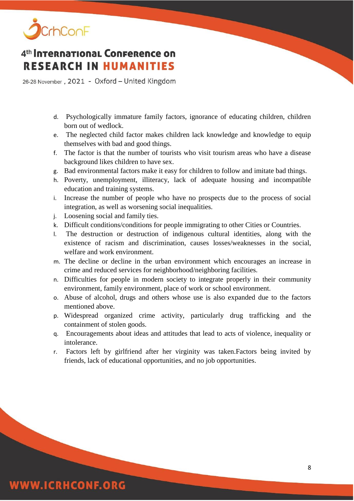

26-28 November, 2021 - Oxford - United Kingdom

- d. Psychologically immature family factors, ignorance of educating children, children born out of wedlock.
- e. The neglected child factor makes children lack knowledge and knowledge to equip themselves with bad and good things.
- f. The factor is that the number of tourists who visit tourism areas who have a disease background likes children to have sex.
- g. Bad environmental factors make it easy for children to follow and imitate bad things.
- h. Poverty, unemployment, illiteracy, lack of adequate housing and incompatible education and training systems.
- i. Increase the number of people who have no prospects due to the process of social integration, as well as worsening social inequalities.
- j. Loosening social and family ties.
- k. Difficult conditions/conditions for people immigrating to other Cities or Countries.
- l. The destruction or destruction of indigenous cultural identities, along with the existence of racism and discrimination, causes losses/weaknesses in the social, welfare and work environment.
- m. The decline or decline in the urban environment which encourages an increase in crime and reduced services for neighborhood/neighboring facilities.
- n. Difficulties for people in modern society to integrate properly in their community environment, family environment, place of work or school environment.
- o. Abuse of alcohol, drugs and others whose use is also expanded due to the factors mentioned above.
- p. Widespread organized crime activity, particularly drug trafficking and the containment of stolen goods.
- q. Encouragements about ideas and attitudes that lead to acts of violence, inequality or intolerance.
- r. Factors left by girlfriend after her virginity was taken.Factors being invited by friends, lack of educational opportunities, and no job opportunities.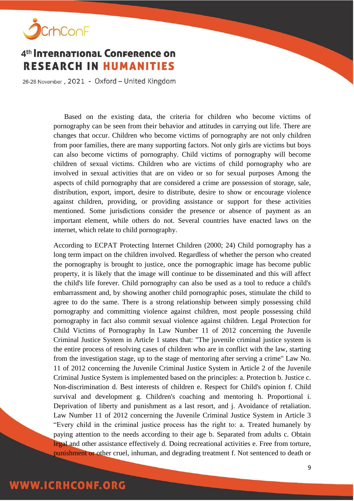

26-28 November, 2021 - Oxford - United Kingdom

Based on the existing data, the criteria for children who become victims of pornography can be seen from their behavior and attitudes in carrying out life. There are changes that occur. Children who become victims of pornography are not only children from poor families, there are many supporting factors. Not only girls are victims but boys can also become victims of pornography. Child victims of pornography will become children of sexual victims. Children who are victims of child pornography who are involved in sexual activities that are on video or so for sexual purposes Among the aspects of child pornography that are considered a crime are possession of storage, sale, distribution, export, import, desire to distribute, desire to show or encourage violence against children, providing, or providing assistance or support for these activities mentioned. Some jurisdictions consider the presence or absence of payment as an important element, while others do not. Several countries have enacted laws on the internet, which relate to child pornography.

According to ECPAT Protecting Internet Children (2000; 24) Child pornography has a long term impact on the children involved. Regardless of whether the person who created the pornography is brought to justice, once the pornographic image has become public property, it is likely that the image will continue to be disseminated and this will affect the child's life forever. Child pornography can also be used as a tool to reduce a child's embarrassment and, by showing another child pornographic poses, stimulate the child to agree to do the same. There is a strong relationship between simply possessing child pornography and committing violence against children, most people possessing child pornography in fact also commit sexual violence against children. Legal Protection for Child Victims of Pornography In Law Number 11 of 2012 concerning the Juvenile Criminal Justice System in Article 1 states that: "The juvenile criminal justice system is the entire process of resolving cases of children who are in conflict with the law, starting from the investigation stage, up to the stage of mentoring after serving a crime" Law No. 11 of 2012 concerning the Juvenile Criminal Justice System in Article 2 of the Juvenile Criminal Justice System is implemented based on the principles: a. Protection b. Justice c. Non-discrimination d. Best interests of children e. Respect for Child's opinion f. Child survival and development g. Children's coaching and mentoring h. Proportional i. Deprivation of liberty and punishment as a last resort, and j. Avoidance of retaliation. Law Number 11 of 2012 concerning the Juvenile Criminal Justice System in Article 3 "Every child in the criminal justice process has the right to: a. Treated humanely by paying attention to the needs according to their age b. Separated from adults c. Obtain legal and other assistance effectively d. Doing recreational activities e. Free from torture, punishment or other cruel, inhuman, and degrading treatment f. Not sentenced to death or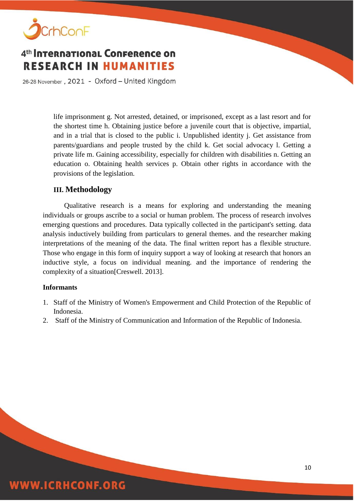

26-28 November, 2021 - Oxford - United Kingdom

life imprisonment g. Not arrested, detained, or imprisoned, except as a last resort and for the shortest time h. Obtaining justice before a juvenile court that is objective, impartial, and in a trial that is closed to the public i. Unpublished identity j. Get assistance from parents/guardians and people trusted by the child k. Get social advocacy l. Getting a private life m. Gaining accessibility, especially for children with disabilities n. Getting an education o. Obtaining health services p. Obtain other rights in accordance with the provisions of the legislation.

#### **III. Methodology**

Qualitative research is a means for exploring and understanding the meaning individuals or groups ascribe to a social or human problem. The process of research involves emerging questions and procedures. Data typically collected in the participant's setting. data analysis inductively building from particulars to general themes. and the researcher making interpretations of the meaning of the data. The final written report has a flexible structure. Those who engage in this form of inquiry support a way of looking at research that honors an inductive style, a focus on individual meaning. and the importance of rendering the complexity of a situation[Creswell. 2013].

#### **Informants**

- 1. Staff of the Ministry of Women's Empowerment and Child Protection of the Republic of Indonesia.
- 2. Staff of the Ministry of Communication and Information of the Republic of Indonesia.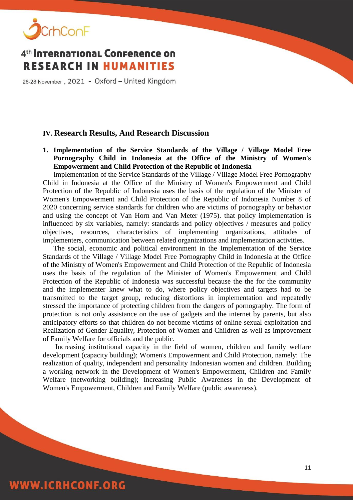

26-28 November, 2021 - Oxford - United Kingdom

#### **IV. Research Results, And Research Discussion**

**1. Implementation of the Service Standards of the Village / Village Model Free Pornography Child in Indonesia at the Office of the Ministry of Women's Empowerment and Child Protection of the Republic of Indonesia**

Implementation of the Service Standards of the Village / Village Model Free Pornography Child in Indonesia at the Office of the Ministry of Women's Empowerment and Child Protection of the Republic of Indonesia uses the basis of the regulation of the Minister of Women's Empowerment and Child Protection of the Republic of Indonesia Number 8 of 2020 concerning service standards for children who are victims of pornography or behavior and using the concept of Van Horn and Van Meter (1975). that policy implementation is influenced by six variables, namely: standards and policy objectives / measures and policy objectives, resources, characteristics of implementing organizations, attitudes of implementers, communication between related organizations and implementation activities.

The social, economic and political environment in the Implementation of the Service Standards of the Village / Village Model Free Pornography Child in Indonesia at the Office of the Ministry of Women's Empowerment and Child Protection of the Republic of Indonesia uses the basis of the regulation of the Minister of Women's Empowerment and Child Protection of the Republic of Indonesia was successful because the the for the community and the implementer knew what to do, where policy objectives and targets had to be transmitted to the target group, reducing distortions in implementation and repeatedly stressed the importance of protecting children from the dangers of pornography. The form of protection is not only assistance on the use of gadgets and the internet by parents, but also anticipatory efforts so that children do not become victims of online sexual exploitation and Realization of Gender Equality, Protection of Women and Children as well as improvement of Family Welfare for officials and the public.

Increasing institutional capacity in the field of women, children and family welfare development (capacity building); Women's Empowerment and Child Protection, namely: The realization of quality, independent and personality Indonesian women and children. Building a working network in the Development of Women's Empowerment, Children and Family Welfare (networking building); Increasing Public Awareness in the Development of Women's Empowerment, Children and Family Welfare (public awareness).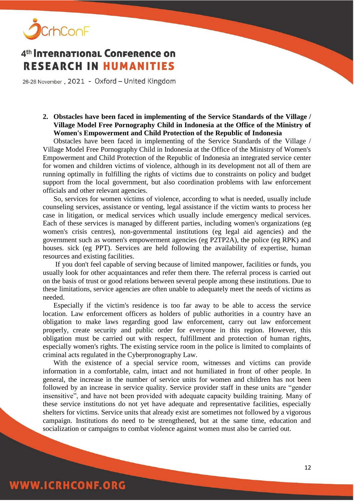

26-28 November, 2021 - Oxford - United Kingdom

#### **2. Obstacles have been faced in implementing of the Service Standards of the Village / Village Model Free Pornography Child in Indonesia at the Office of the Ministry of Women's Empowerment and Child Protection of the Republic of Indonesia**

Obstacles have been faced in implementing of the Service Standards of the Village / Village Model Free Pornography Child in Indonesia at the Office of the Ministry of Women's Empowerment and Child Protection of the Republic of Indonesia an integrated service center for women and children victims of violence, although in its development not all of them are running optimally in fulfilling the rights of victims due to constraints on policy and budget support from the local government, but also coordination problems with law enforcement officials and other relevant agencies.

So, services for women victims of violence, according to what is needed, usually include counseling services, assistance or venting, legal assistance if the victim wants to process her case in litigation, or medical services which usually include emergency medical services. Each of these services is managed by different parties, including women's organizations (eg women's crisis centres), non-governmental institutions (eg legal aid agencies) and the government such as women's empowerment agencies (eg P2TP2A), the police (eg RPK) and houses. sick (eg PPT). Services are held following the availability of expertise, human resources and existing facilities.

If you don't feel capable of serving because of limited manpower, facilities or funds, you usually look for other acquaintances and refer them there. The referral process is carried out on the basis of trust or good relations between several people among these institutions. Due to these limitations, service agencies are often unable to adequately meet the needs of victims as needed.

Especially if the victim's residence is too far away to be able to access the service location. Law enforcement officers as holders of public authorities in a country have an obligation to make laws regarding good law enforcement, carry out law enforcement properly, create security and public order for everyone in this region. However, this obligation must be carried out with respect, fulfillment and protection of human rights, especially women's rights. The existing service room in the police is limited to complaints of criminal acts regulated in the Cyberpronography Law.

With the existence of a special service room, witnesses and victims can provide information in a comfortable, calm, intact and not humiliated in front of other people. In general, the increase in the number of service units for women and children has not been followed by an increase in service quality. Service provider staff in these units are "gender insensitive", and have not been provided with adequate capacity building training. Many of these service institutions do not yet have adequate and representative facilities, especially shelters for victims. Service units that already exist are sometimes not followed by a vigorous campaign. Institutions do need to be strengthened, but at the same time, education and socialization or campaigns to combat violence against women must also be carried out.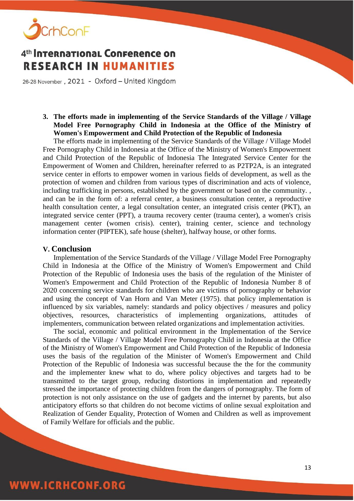

26-28 November, 2021 - Oxford - United Kingdom

#### **3. The efforts made in implementing of the Service Standards of the Village / Village Model Free Pornography Child in Indonesia at the Office of the Ministry of Women's Empowerment and Child Protection of the Republic of Indonesia**

The efforts made in implementing of the Service Standards of the Village / Village Model Free Pornography Child in Indonesia at the Office of the Ministry of Women's Empowerment and Child Protection of the Republic of Indonesia The Integrated Service Center for the Empowerment of Women and Children, hereinafter referred to as P2TP2A, is an integrated service center in efforts to empower women in various fields of development, as well as the protection of women and children from various types of discrimination and acts of violence, including trafficking in persons, established by the government or based on the community. , and can be in the form of: a referral center, a business consultation center, a reproductive health consultation center, a legal consultation center, an integrated crisis center (PKT), an integrated service center (PPT), a trauma recovery center (trauma center), a women's crisis management center (women crisis). center), training center, science and technology information center (PIPTEK), safe house (shelter), halfway house, or other forms.

#### **V. Conclusion**

Implementation of the Service Standards of the Village / Village Model Free Pornography Child in Indonesia at the Office of the Ministry of Women's Empowerment and Child Protection of the Republic of Indonesia uses the basis of the regulation of the Minister of Women's Empowerment and Child Protection of the Republic of Indonesia Number 8 of 2020 concerning service standards for children who are victims of pornography or behavior and using the concept of Van Horn and Van Meter (1975). that policy implementation is influenced by six variables, namely: standards and policy objectives / measures and policy objectives, resources, characteristics of implementing organizations, attitudes of implementers, communication between related organizations and implementation activities.

The social, economic and political environment in the Implementation of the Service Standards of the Village / Village Model Free Pornography Child in Indonesia at the Office of the Ministry of Women's Empowerment and Child Protection of the Republic of Indonesia uses the basis of the regulation of the Minister of Women's Empowerment and Child Protection of the Republic of Indonesia was successful because the the for the community and the implementer knew what to do, where policy objectives and targets had to be transmitted to the target group, reducing distortions in implementation and repeatedly stressed the importance of protecting children from the dangers of pornography. The form of protection is not only assistance on the use of gadgets and the internet by parents, but also anticipatory efforts so that children do not become victims of online sexual exploitation and Realization of Gender Equality, Protection of Women and Children as well as improvement of Family Welfare for officials and the public.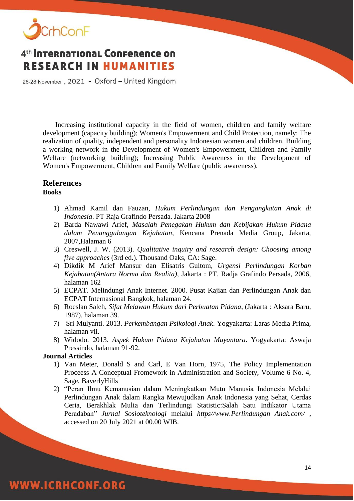

26-28 November, 2021 - Oxford - United Kingdom

Increasing institutional capacity in the field of women, children and family welfare development (capacity building); Women's Empowerment and Child Protection, namely: The realization of quality, independent and personality Indonesian women and children. Building a working network in the Development of Women's Empowerment, Children and Family Welfare (networking building); Increasing Public Awareness in the Development of Women's Empowerment, Children and Family Welfare (public awareness).

### **References**

#### **Books**

- 1) Ahmad Kamil dan Fauzan, *Hukum Perlindungan dan Pengangkatan Anak di Indonesia*. PT Raja Grafindo Persada. Jakarta 2008
- 2) Barda Nawawi Arief, *Masalah Penegakan Hukum dan Kebijakan Hukum Pidana dalam Penanggulangan Kejahatan*, Kencana Prenada Media Group, Jakarta, 2007,Halaman 6
- 3) Creswell, J. W. (2013). *Qualitative inquiry and research design: Choosing among five approaches* (3rd ed.). Thousand Oaks, CA: Sage.
- 4) Dikdik M Arief Mansur dan Elisatris Gultom, *Urgensi Perlindungan Korban Kejahatan(Antara Norma dan Realita)*, Jakarta : PT. Radja Grafindo Persada, 2006, halaman 162
- 5) ECPAT. Melindungi Anak Internet. 2000. Pusat Kajian dan Perlindungan Anak dan ECPAT Internasional Bangkok, halaman 24.
- 6) Roeslan Saleh, *Sifat Melawan Hukum dari Perbuatan Pidana*, (Jakarta : Aksara Baru, 1987), halaman 39.
- 7) Sri Mulyanti. 2013. *Perkembangan Psikologi Anak*. Yogyakarta: Laras Media Prima, halaman vii.
- 8) Widodo. 2013. *Aspek Hukum Pidana Kejahatan Mayantara*. Yogyakarta: Aswaja Pressindo, halaman 91-92.

#### **Journal Articles**

- 1) Van Meter, Donald S and Carl, E Van Horn, 1975, The Policy Implementation Proceess A Conceptual Fromework in Administration and Society, Volume 6 No. 4, Sage, BaverlyHills
- 2) "Peran Ilmu Kemanusian dalam Meningkatkan Mutu Manusia Indonesia Melalui Perlindungan Anak dalam Rangka Mewujudkan Anak Indonesia yang Sehat, Cerdas Ceria, Berakhlak Mulia dan Terlindungi Statistic:Salah Satu Indikator Utama Peradaban" *Jurnal Sosioteknologi* melalui *https//www.Perlindungan Anak.com/* , accessed on 20 July 2021 at 00.00 WIB.